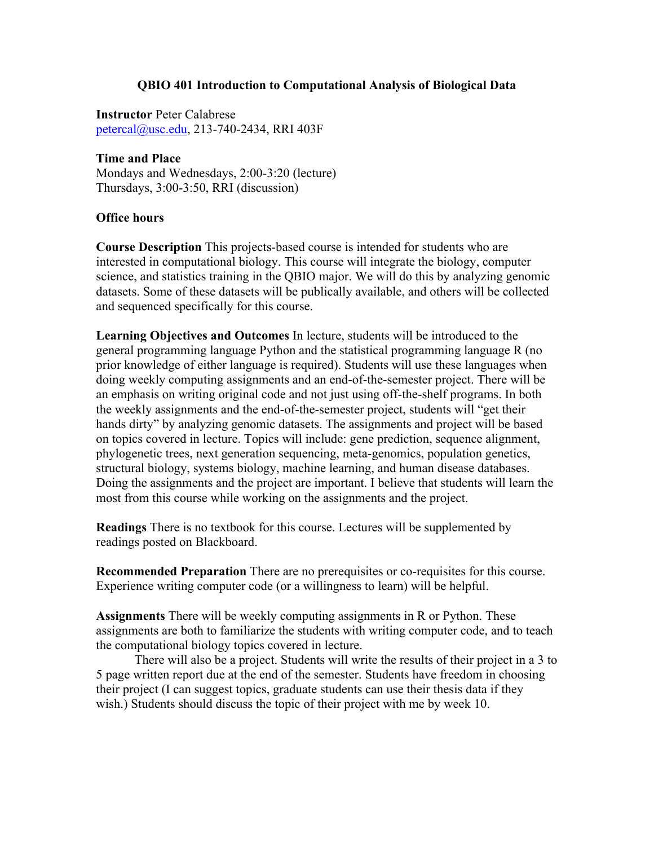## **QBIO 401 Introduction to Computational Analysis of Biological Data**

**Instructor** Peter Calabrese petercal@usc.edu, 213-740-2434, RRI 403F

### **Time and Place**

Mondays and Wednesdays, 2:00-3:20 (lecture) Thursdays, 3:00-3:50, RRI (discussion)

## **Office hours**

**Course Description** This projects-based course is intended for students who are interested in computational biology. This course will integrate the biology, computer science, and statistics training in the QBIO major. We will do this by analyzing genomic datasets. Some of these datasets will be publically available, and others will be collected and sequenced specifically for this course.

**Learning Objectives and Outcomes** In lecture, students will be introduced to the general programming language Python and the statistical programming language R (no prior knowledge of either language is required). Students will use these languages when doing weekly computing assignments and an end-of-the-semester project. There will be an emphasis on writing original code and not just using off-the-shelf programs. In both the weekly assignments and the end-of-the-semester project, students will "get their hands dirty" by analyzing genomic datasets. The assignments and project will be based on topics covered in lecture. Topics will include: gene prediction, sequence alignment, phylogenetic trees, next generation sequencing, meta-genomics, population genetics, structural biology, systems biology, machine learning, and human disease databases. Doing the assignments and the project are important. I believe that students will learn the most from this course while working on the assignments and the project.

**Readings** There is no textbook for this course. Lectures will be supplemented by readings posted on Blackboard.

**Recommended Preparation** There are no prerequisites or co-requisites for this course. Experience writing computer code (or a willingness to learn) will be helpful.

**Assignments** There will be weekly computing assignments in R or Python. These assignments are both to familiarize the students with writing computer code, and to teach the computational biology topics covered in lecture.

There will also be a project. Students will write the results of their project in a 3 to 5 page written report due at the end of the semester. Students have freedom in choosing their project (I can suggest topics, graduate students can use their thesis data if they wish.) Students should discuss the topic of their project with me by week 10.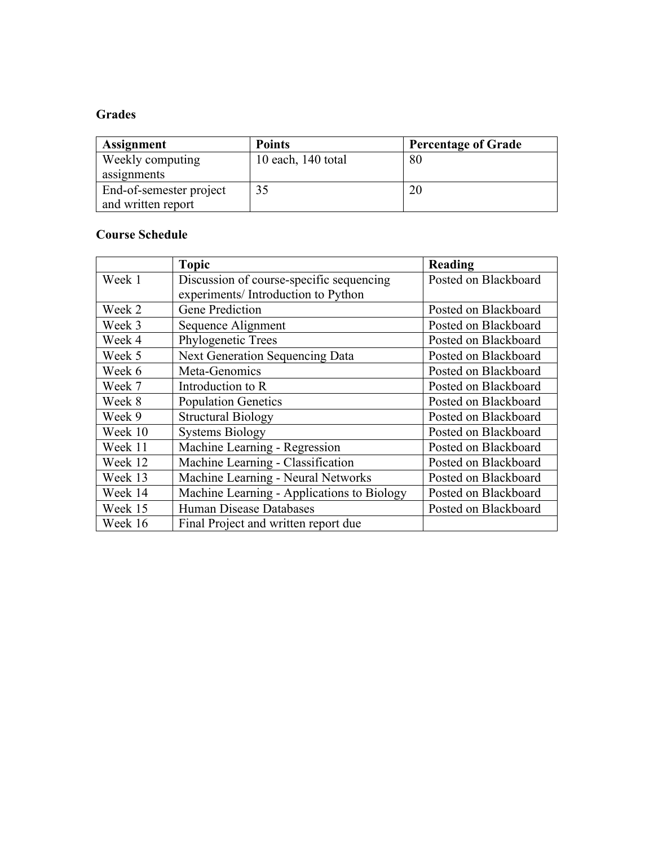# **Grades**

| Assignment              | <b>Points</b>      | <b>Percentage of Grade</b> |
|-------------------------|--------------------|----------------------------|
| Weekly computing        | 10 each, 140 total | 80                         |
| assignments             |                    |                            |
| End-of-semester project | 35                 |                            |
| and written report      |                    |                            |

## **Course Schedule**

|         | <b>Topic</b>                               | Reading              |
|---------|--------------------------------------------|----------------------|
| Week 1  | Discussion of course-specific sequencing   | Posted on Blackboard |
|         | experiments/ Introduction to Python        |                      |
| Week 2  | <b>Gene Prediction</b>                     | Posted on Blackboard |
| Week 3  | Sequence Alignment                         | Posted on Blackboard |
| Week 4  | Phylogenetic Trees                         | Posted on Blackboard |
| Week 5  | Next Generation Sequencing Data            | Posted on Blackboard |
| Week 6  | Meta-Genomics                              | Posted on Blackboard |
| Week 7  | Introduction to R                          | Posted on Blackboard |
| Week 8  | <b>Population Genetics</b>                 | Posted on Blackboard |
| Week 9  | <b>Structural Biology</b>                  | Posted on Blackboard |
| Week 10 | <b>Systems Biology</b>                     | Posted on Blackboard |
| Week 11 | Machine Learning - Regression              | Posted on Blackboard |
| Week 12 | Machine Learning - Classification          | Posted on Blackboard |
| Week 13 | Machine Learning - Neural Networks         | Posted on Blackboard |
| Week 14 | Machine Learning - Applications to Biology | Posted on Blackboard |
| Week 15 | Human Disease Databases                    | Posted on Blackboard |
| Week 16 | Final Project and written report due       |                      |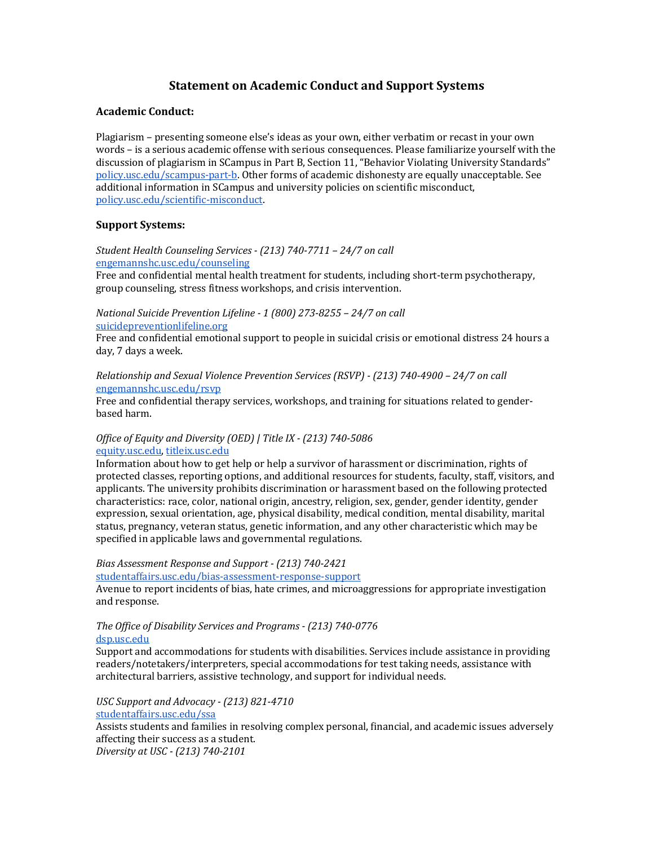## **Statement on Academic Conduct and Support Systems**

#### **Academic Conduct:**

Plagiarism – presenting someone else's ideas as your own, either verbatim or recast in your own words - is a serious academic offense with serious consequences. Please familiarize yourself with the discussion of plagiarism in SCampus in Part B, Section 11, "Behavior Violating University Standards" policy.usc.edu/scampus-part-b. Other forms of academic dishonesty are equally unacceptable. See additional information in SCampus and university policies on scientific misconduct, policy.usc.edu/scientific-misconduct.

#### **Support Systems:**

*Student Health Counseling Services - (213) 740-7711 – 24/7 on call* engemannshc.usc.edu/counseling

Free and confidential mental health treatment for students, including short-term psychotherapy, group counseling, stress fitness workshops, and crisis intervention.

#### *National Suicide Prevention Lifeline - 1 (800) 273-8255 – 24/7 on call* suicidepreventionlifeline.org

Free and confidential emotional support to people in suicidal crisis or emotional distress 24 hours a day, 7 days a week.

#### *Relationship and Sexual Violence Prevention Services (RSVP) - (213) 740-4900 – 24/7 on call* engemannshc.usc.edu/rsvp

Free and confidential therapy services, workshops, and training for situations related to genderbased harm.

#### *Office of Equity and Diversity (OED) | Title IX - (213) 740-5086* equity.usc.edu, titleix.usc.edu

Information about how to get help or help a survivor of harassment or discrimination, rights of protected classes, reporting options, and additional resources for students, faculty, staff, visitors, and applicants. The university prohibits discrimination or harassment based on the following protected characteristics: race, color, national origin, ancestry, religion, sex, gender, gender identity, gender expression, sexual orientation, age, physical disability, medical condition, mental disability, marital status, pregnancy, veteran status, genetic information, and any other characteristic which may be specified in applicable laws and governmental regulations.

### *Bias Assessment Response and Support - (213) 740-2421*

studentaffairs.usc.edu/bias-assessment-response-support

Avenue to report incidents of bias, hate crimes, and microaggressions for appropriate investigation and response.

#### *The Office of Disability Services and Programs - (213) 740-0776* dsp.usc.edu

Support and accommodations for students with disabilities. Services include assistance in providing readers/notetakers/interpreters, special accommodations for test taking needs, assistance with architectural barriers, assistive technology, and support for individual needs.

## *USC Support and Advocacy - (213) 821-4710*

studentaffairs.usc.edu/ssa

Assists students and families in resolving complex personal, financial, and academic issues adversely affecting their success as a student.

*Diversity at USC - (213) 740-2101*